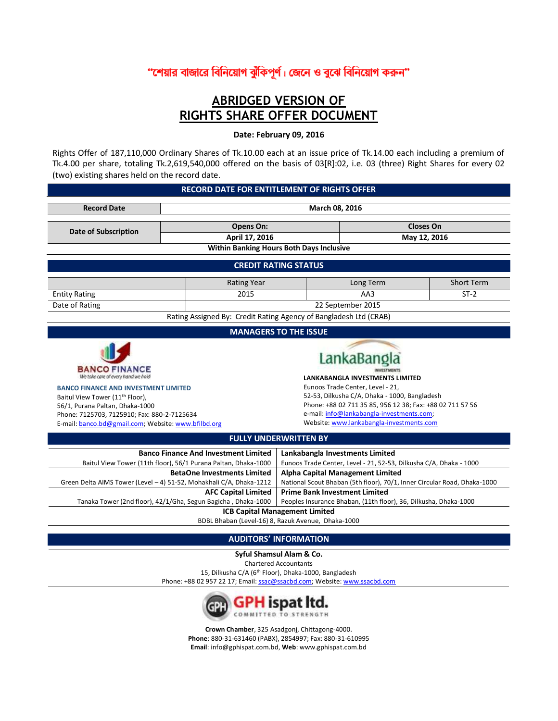# "শেয়ার বাজারে বিনিয়োগ ঝুঁকিপূর্ণ। জেনে ও বুঝে বিনিয়োগ করুন"

# **ABRIDGED VERSION OF RIGHTS SHARE OFFER DOCUMENT**

# **Date: February 09, 2016**

Rights Offer of 187,110,000 Ordinary Shares of Tk.10.00 each at an issue price of Tk.14.00 each including a premium of Tk.4.00 per share, totaling Tk.2,619,540,000 offered on the basis of 03[R]:02, i.e. 03 (three) Right Shares for every 02 (two) existing shares held on the record date.

#### **RECORD DATE FOR ENTITLEMENT OF RIGHTS OFFER**

| <b>Record Date</b>                                                                                                                                                                                                                                                                                                                                                                          | March 08, 2016                                                                                                |                                                                                                                     |                                                                    |                   |  |  |
|---------------------------------------------------------------------------------------------------------------------------------------------------------------------------------------------------------------------------------------------------------------------------------------------------------------------------------------------------------------------------------------------|---------------------------------------------------------------------------------------------------------------|---------------------------------------------------------------------------------------------------------------------|--------------------------------------------------------------------|-------------------|--|--|
| <b>Date of Subscription</b>                                                                                                                                                                                                                                                                                                                                                                 | Opens On:                                                                                                     |                                                                                                                     | <b>Closes On</b>                                                   |                   |  |  |
|                                                                                                                                                                                                                                                                                                                                                                                             | April 17, 2016                                                                                                |                                                                                                                     | May 12, 2016                                                       |                   |  |  |
|                                                                                                                                                                                                                                                                                                                                                                                             | <b>Within Banking Hours Both Days Inclusive</b>                                                               |                                                                                                                     |                                                                    |                   |  |  |
|                                                                                                                                                                                                                                                                                                                                                                                             |                                                                                                               | <b>CREDIT RATING STATUS</b>                                                                                         |                                                                    |                   |  |  |
|                                                                                                                                                                                                                                                                                                                                                                                             | <b>Rating Year</b>                                                                                            |                                                                                                                     | Long Term                                                          | <b>Short Term</b> |  |  |
| <b>Entity Rating</b>                                                                                                                                                                                                                                                                                                                                                                        | 2015                                                                                                          |                                                                                                                     | AA3                                                                | $ST-2$            |  |  |
| Date of Rating                                                                                                                                                                                                                                                                                                                                                                              |                                                                                                               |                                                                                                                     | 22 September 2015                                                  |                   |  |  |
|                                                                                                                                                                                                                                                                                                                                                                                             | Rating Assigned By: Credit Rating Agency of Bangladesh Ltd (CRAB)                                             |                                                                                                                     |                                                                    |                   |  |  |
|                                                                                                                                                                                                                                                                                                                                                                                             |                                                                                                               | <b>MANAGERS TO THE ISSUE</b>                                                                                        |                                                                    |                   |  |  |
| <b>BANCO FINANCE</b><br>We take care of every hand we hold<br><b>BANCO FINANCE AND INVESTMENT LIMITED</b>                                                                                                                                                                                                                                                                                   | LankaBang<br><b>LANKABANGLA INVESTMENTS LIMITED</b><br>Eunoos Trade Center, Level - 21,                       |                                                                                                                     |                                                                    |                   |  |  |
| 52-53, Dilkusha C/A, Dhaka - 1000, Bangladesh<br>Baitul View Tower (11 <sup>th</sup> Floor),<br>Phone: +88 02 711 35 85, 956 12 38; Fax: +88 02 711 57 56<br>56/1, Purana Paltan, Dhaka-1000<br>e-mail: info@lankabangla-investments.com;<br>Phone: 7125703, 7125910; Fax: 880-2-7125634<br>Website: www.lankabangla-investments.com<br>E-mail: banco.bd@gmail.com; Website: www.bfilbd.org |                                                                                                               |                                                                                                                     |                                                                    |                   |  |  |
|                                                                                                                                                                                                                                                                                                                                                                                             |                                                                                                               | <b>FULLY UNDERWRITTEN BY</b>                                                                                        |                                                                    |                   |  |  |
|                                                                                                                                                                                                                                                                                                                                                                                             | <b>Banco Finance And Investment Limited</b><br>Baitul View Tower (11th floor), 56/1 Purana Paltan, Dhaka-1000 | Lankabangla Investments Limited                                                                                     | Eunoos Trade Center, Level - 21, 52-53, Dilkusha C/A, Dhaka - 1000 |                   |  |  |
| Green Delta AIMS Tower (Level - 4) 51-52, Mohakhali C/A, Dhaka-1212                                                                                                                                                                                                                                                                                                                         | <b>BetaOne Investments Limited</b>                                                                            | <b>Alpha Capital Management Limited</b><br>National Scout Bhaban (5th floor), 70/1, Inner Circular Road, Dhaka-1000 |                                                                    |                   |  |  |
| <b>Prime Bank Investment Limited</b><br><b>AFC Capital Limited</b><br>Tanaka Tower (2nd floor), 42/1/Gha, Segun Bagicha, Dhaka-1000<br>Peoples Insurance Bhaban, (11th floor), 36, Dilkusha, Dhaka-1000                                                                                                                                                                                     |                                                                                                               |                                                                                                                     |                                                                    |                   |  |  |
| <b>ICB Capital Management Limited</b>                                                                                                                                                                                                                                                                                                                                                       |                                                                                                               |                                                                                                                     |                                                                    |                   |  |  |
| BDBL Bhaban (Level-16) 8, Razuk Avenue, Dhaka-1000                                                                                                                                                                                                                                                                                                                                          |                                                                                                               |                                                                                                                     |                                                                    |                   |  |  |

# **AUDITORS' INFORMATION**

**Syful Shamsul Alam & Co.** Chartered Accountants 15, Dilkusha C/A (6th Floor), Dhaka-1000, Bangladesh Phone: +88 02 957 22 17; Email[: ssac@ssacbd.com;](mailto:ssac@ssacbd.com) Website[: www.ssacbd.com](http://www.ssacbd.com/)



**Crown Chamber**, 325 Asadgonj, Chittagong-4000. **Phone**: 880-31-631460 (PABX), 2854997; Fax: 880-31-610995 **Email**[: info@gphispat.com.bd,](mailto:info@gphispat.com.bd) **Web**[: www.gphispat.com.bd](http://www.gphispat.com.bd/)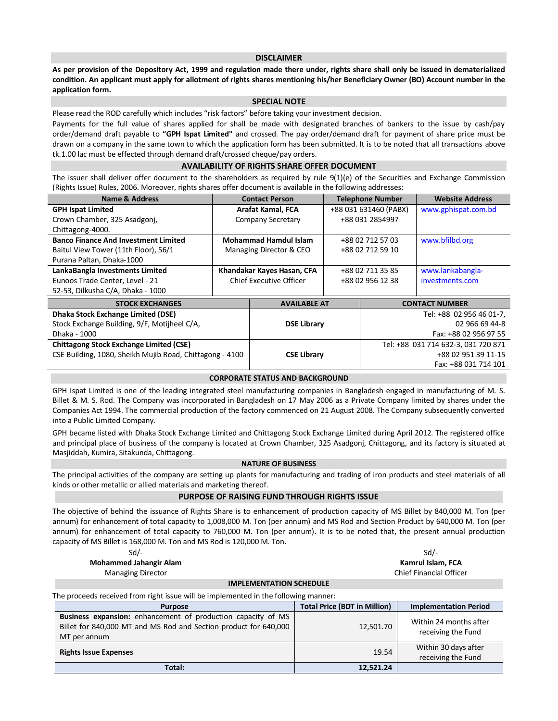#### **DISCLAIMER**

**As per provision of the Depository Act, 1999 and regulation made there under, rights share shall only be issued in dematerialized condition. An applicant must apply for allotment of rights shares mentioning his/her Beneficiary Owner (BO) Account number in the application form.**

#### **SPECIAL NOTE**

Please read the ROD carefully which includes "risk factors" before taking your investment decision.

Payments for the full value of shares applied for shall be made with designated branches of bankers to the issue by cash/pay order/demand draft payable to **"GPH Ispat Limited"** and crossed. The pay order/demand draft for payment of share price must be drawn on a company in the same town to which the application form has been submitted. It is to be noted that all transactions above tk.1.00 lac must be effected through demand draft/crossed cheque/pay orders.

#### **AVAILABILITY OF RIGHTS SHARE OFFER DOCUMENT**

The issuer shall deliver offer document to the shareholders as required by rule 9(1)(e) of the Securities and Exchange Commission (Rights Issue) Rules, 2006. Moreover, rights shares offer document is available in the following addresses:

| <b>Name &amp; Address</b>                                |                                | <b>Contact Person</b>        | <b>Telephone Number</b> |                  | <b>Website Address</b>              |
|----------------------------------------------------------|--------------------------------|------------------------------|-------------------------|------------------|-------------------------------------|
| <b>GPH Ispat Limited</b>                                 | Arafat Kamal, FCA              |                              | +88 031 631460 (PABX)   |                  | www.gphispat.com.bd                 |
| Crown Chamber, 325 Asadgonj,                             |                                | Company Secretary            |                         | +88 031 2854997  |                                     |
| Chittagong-4000.                                         |                                |                              |                         |                  |                                     |
| <b>Banco Finance And Investment Limited</b>              |                                | <b>Mohammad Hamdul Islam</b> |                         | +88 02 712 57 03 | www.bfilbd.org                      |
| Baitul View Tower (11th Floor), 56/1                     |                                | Managing Director & CEO      |                         | +88 02 712 59 10 |                                     |
| Purana Paltan, Dhaka-1000                                |                                |                              |                         |                  |                                     |
| LankaBangla Investments Limited                          | Khandakar Kayes Hasan, CFA     |                              | +88 02 711 35 85        |                  | www.lankabangla-                    |
| Eunoos Trade Center, Level - 21                          | <b>Chief Executive Officer</b> |                              | +88 02 956 12 38        |                  | investments.com                     |
| 52-53, Dilkusha C/A, Dhaka - 1000                        |                                |                              |                         |                  |                                     |
| <b>STOCK EXCHANGES</b>                                   |                                | <b>AVAILABLE AT</b>          |                         |                  | <b>CONTACT NUMBER</b>               |
| <b>Dhaka Stock Exchange Limited (DSE)</b>                |                                |                              |                         |                  | Tel: +88 02 956 46 01-7,            |
| Stock Exchange Building, 9/F, Motijheel C/A,             |                                | <b>DSE Library</b>           |                         |                  | 02 966 69 44-8                      |
| Dhaka - 1000                                             |                                |                              |                         |                  | Fax: +88 02 956 97 55               |
| <b>Chittagong Stock Exchange Limited (CSE)</b>           |                                |                              |                         |                  | Tel: +88 031 714 632-3, 031 720 871 |
| CSE Building, 1080, Sheikh Mujib Road, Chittagong - 4100 |                                | <b>CSE Library</b>           |                         |                  | +88 02 951 39 11-15                 |
|                                                          |                                |                              |                         |                  | Fax: +88 031 714 101                |

#### **CORPORATE STATUS AND BACKGROUND**

GPH Ispat Limited is one of the leading integrated steel manufacturing companies in Bangladesh engaged in manufacturing of M. S. Billet & M. S. Rod. The Company was incorporated in Bangladesh on 17 May 2006 as a Private Company limited by shares under the Companies Act 1994. The commercial production of the factory commenced on 21 August 2008. The Company subsequently converted into a Public Limited Company.

GPH became listed with Dhaka Stock Exchange Limited and Chittagong Stock Exchange Limited during April 2012. The registered office and principal place of business of the company is located at Crown Chamber, 325 Asadgonj, Chittagong, and its factory is situated at Masjiddah, Kumira, Sitakunda, Chittagong.

#### **NATURE OF BUSINESS**

The principal activities of the company are setting up plants for manufacturing and trading of iron products and steel materials of all kinds or other metallic or allied materials and marketing thereof.

#### **PURPOSE OF RAISING FUND THROUGH RIGHTS ISSUE**

The objective of behind the issuance of Rights Share is to enhancement of production capacity of MS Billet by 840,000 M. Ton (per annum) for enhancement of total capacity to 1,008,000 M. Ton (per annum) and MS Rod and Section Product by 640,000 M. Ton (per annum) for enhancement of total capacity to 760,000 M. Ton (per annum). It is to be noted that, the present annual production capacity of MS Billet is 168,000 M. Ton and MS Rod is 120,000 M. Ton.

| $Sd$ /-                        | $Sd$ /-                        |
|--------------------------------|--------------------------------|
| <b>Mohammed Jahangir Alam</b>  | Kamrul Islam. FCA              |
| <b>Managing Director</b>       | <b>Chief Financial Officer</b> |
| <b>IMPLEMENTATION SCHEDULE</b> |                                |

The proceeds received from right issue will be implemented in the following manner:

| <b>Purpose</b>                                                                                                                                          | <b>Total Price (BDT in Million)</b> | <b>Implementation Period</b>                 |  |  |  |  |
|---------------------------------------------------------------------------------------------------------------------------------------------------------|-------------------------------------|----------------------------------------------|--|--|--|--|
| <b>Business expansion:</b> enhancement of production capacity of MS<br>Billet for 840,000 MT and MS Rod and Section product for 640,000<br>MT per annum | 12,501.70                           | Within 24 months after<br>receiving the Fund |  |  |  |  |
| <b>Rights Issue Expenses</b>                                                                                                                            | 19.54                               | Within 30 days after<br>receiving the Fund   |  |  |  |  |
| Total:                                                                                                                                                  | 12,521.24                           |                                              |  |  |  |  |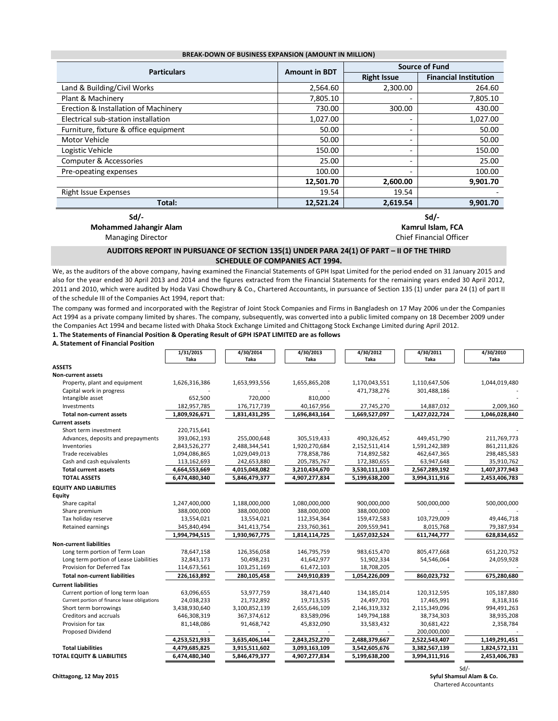| <b>BREAK-DOWN OF BUSINESS EXPANSION (AMOUNT IN MILLION)</b> |                      |                          |                              |  |  |  |
|-------------------------------------------------------------|----------------------|--------------------------|------------------------------|--|--|--|
| <b>Particulars</b>                                          | <b>Amount in BDT</b> |                          | <b>Source of Fund</b>        |  |  |  |
|                                                             |                      | <b>Right Issue</b>       | <b>Financial Institution</b> |  |  |  |
| Land & Building/Civil Works                                 | 2,564.60             | 2,300.00                 | 264.60                       |  |  |  |
| Plant & Machinery                                           | 7,805.10             |                          | 7,805.10                     |  |  |  |
| Erection & Installation of Machinery                        | 730.00               | 300.00                   | 430.00                       |  |  |  |
| Electrical sub-station installation                         | 1,027.00             |                          | 1,027.00                     |  |  |  |
| Furniture, fixture & office equipment                       | 50.00                |                          | 50.00                        |  |  |  |
| <b>Motor Vehicle</b>                                        | 50.00                | ۰                        | 50.00                        |  |  |  |
| Logistic Vehicle                                            | 150.00               |                          | 150.00                       |  |  |  |
| Computer & Accessories                                      | 25.00                | $\overline{\phantom{0}}$ | 25.00                        |  |  |  |
| Pre-opeating expenses                                       | 100.00               |                          | 100.00                       |  |  |  |
|                                                             | 12,501.70            | 2,600.00                 | 9,901.70                     |  |  |  |
| Right Issue Expenses                                        | 19.54                | 19.54                    |                              |  |  |  |
| Total:                                                      | 12,521.24            | 2,619.54                 | 9,901.70                     |  |  |  |
|                                                             |                      |                          |                              |  |  |  |

**BREAK-DOWN OF BUSINESS EXPANSION (AMOUNT IN MILLION)**

**Sd/-**

**Mohammed Jahangir Alam**

Managing Director

**Sd/- Kamrul Islam, FCA**

#### Chief Financial Officer

### **AUDITORS REPORT IN PURSUANCE OF SECTION 135(1) UNDER PARA 24(1) OF PART – II OF THE THIRD SCHEDULE OF COMPANIES ACT 1994.**

We, as the auditors of the above company, having examined the Financial Statements of GPH Ispat Limited for the period ended on 31 January 2015 and also for the year ended 30 April 2013 and 2014 and the figures extracted from the Financial Statements for the remaining years ended 30 April 2012, 2011 and 2010, which were audited by Hoda Vasi Chowdhury & Co., Chartered Accountants, in pursuance of Section 135 (1) under para 24 (1) of part II of the schedule III of the Companies Act 1994, report that:

The company was formed and incorporated with the Registrar of Joint Stock Companies and Firms in Bangladesh on 17 May 2006 under the Companies Act 1994 as a private company limited by shares. The company, subsequently, was converted into a public limited company on 18 December 2009 under the Companies Act 1994 and became listed with Dhaka Stock Exchange Limited and Chittagong Stock Exchange Limited during April 2012.

**1. The Statements of Financial Position & Operating Result of GPH ISPAT LIMITED are as follows A. Statement of Financial Position**

|                                              | 1/31/2015<br>Taka | 4/30/2014<br>Taka | 4/30/2013<br>Taka | 4/30/2012<br>Taka | 4/30/2011<br>Taka | 4/30/2010<br>Taka |
|----------------------------------------------|-------------------|-------------------|-------------------|-------------------|-------------------|-------------------|
| <b>ASSETS</b>                                |                   |                   |                   |                   |                   |                   |
| <b>Non-current assets</b>                    |                   |                   |                   |                   |                   |                   |
| Property, plant and equipment                | 1,626,316,386     | 1,653,993,556     | 1,655,865,208     | 1,170,043,551     | 1,110,647,506     | 1,044,019,480     |
| Capital work in progress                     |                   |                   |                   | 471,738,276       | 301,488,186       |                   |
| Intangible asset                             | 652,500           | 720,000           | 810,000           |                   |                   |                   |
| Investments                                  | 182,957,785       | 176,717,739       | 40,167,956        | 27,745,270        | 14,887,032        | 2,009,360         |
| <b>Total non-current assets</b>              | 1,809,926,671     | 1,831,431,295     | 1,696,843,164     | 1,669,527,097     | 1,427,022,724     | 1,046,028,840     |
| <b>Current assets</b>                        |                   |                   |                   |                   |                   |                   |
| Short term investment                        | 220,715,641       |                   |                   |                   |                   |                   |
| Advances, deposits and prepayments           | 393,062,193       | 255,000,648       | 305,519,433       | 490,326,452       | 449,451,790       | 211,769,773       |
| Inventories                                  | 2,843,526,277     | 2,488,344,541     | 1,920,270,684     | 2,152,511,414     | 1,591,242,389     | 861,211,826       |
| Trade receivables                            | 1,094,086,865     | 1,029,049,013     | 778,858,786       | 714,892,582       | 462,647,365       | 298,485,583       |
| Cash and cash equivalents                    | 113,162,693       | 242,653,880       | 205,785,767       | 172,380,655       | 63,947,648        | 35,910,762        |
| <b>Total current assets</b>                  | 4,664,553,669     | 4,015,048,082     | 3,210,434,670     | 3,530,111,103     | 2,567,289,192     | 1,407,377,943     |
| <b>TOTAL ASSETS</b>                          | 6,474,480,340     | 5,846,479,377     | 4,907,277,834     | 5,199,638,200     | 3,994,311,916     | 2,453,406,783     |
| <b>EQUITY AND LIABILITIES</b>                |                   |                   |                   |                   |                   |                   |
| Equity                                       |                   |                   |                   |                   |                   |                   |
| Share capital                                | 1,247,400,000     | 1,188,000,000     | 1,080,000,000     | 900,000,000       | 500,000,000       | 500,000,000       |
| Share premium                                | 388,000,000       | 388,000,000       | 388,000,000       | 388,000,000       |                   |                   |
| Tax holiday reserve                          | 13,554,021        | 13,554,021        | 112,354,364       | 159,472,583       | 103,729,009       | 49,446,718        |
| Retained earnings                            | 345,840,494       | 341,413,754       | 233,760,361       | 209,559,941       | 8,015,768         | 79,387,934        |
|                                              | 1,994,794,515     | 1,930,967,775     | 1,814,114,725     | 1,657,032,524     | 611,744,777       | 628,834,652       |
| <b>Non-current liabilities</b>               |                   |                   |                   |                   |                   |                   |
| Long term portion of Term Loan               | 78,647,158        | 126,356,058       | 146,795,759       | 983,615,470       | 805,477,668       | 651,220,752       |
| Long term portion of Lease Liabilities       | 32,843,173        | 50,498,231        | 41,642,977        | 51,902,334        | 54,546,064        | 24,059,928        |
| Provision for Deferred Tax                   | 114,673,561       | 103,251,169       | 61,472,103        | 18,708,205        |                   |                   |
| <b>Total non-current liabilities</b>         | 226,163,892       | 280,105,458       | 249,910,839       | 1,054,226,009     | 860,023,732       | 675,280,680       |
| <b>Current liabilities</b>                   |                   |                   |                   |                   |                   |                   |
| Current portion of long term loan            | 63,096,655        | 53,977,759        | 38,471,440        | 134,185,014       | 120,312,595       | 105,187,880       |
| Current portion of finance lease obligations | 24,038,233        | 21,732,892        | 19,713,535        | 24,497,701        | 17,465,991        | 8,318,316         |
| Short term borrowings                        | 3,438,930,640     | 3,100,852,139     | 2,655,646,109     | 2,146,319,332     | 2,115,349,096     | 994,491,263       |
| Creditors and accruals                       | 646,308,319       | 367,374,612       | 83,589,096        | 149,794,188       | 38,734,303        | 38,935,208        |
| Provision for tax                            | 81,148,086        | 91,468,742        | 45,832,090        | 33,583,432        | 30,681,422        | 2,358,784         |
| Proposed Dividend                            |                   |                   |                   |                   | 200,000,000       |                   |
|                                              | 4,253,521,933     | 3,635,406,144     | 2,843,252,270     | 2,488,379,667     | 2,522,543,407     | 1,149,291,451     |
| <b>Total Liabilities</b>                     | 4,479,685,825     | 3,915,511,602     | 3,093,163,109     | 3,542,605,676     | 3,382,567,139     | 1,824,572,131     |
| <b>TOTAL EQUITY &amp; LIABILITIES</b>        | 6,474,480,340     | 5,846,479,377     | 4,907,277,834     | 5,199,638,200     | 3,994,311,916     | 2,453,406,783     |

Sd/- **Chittagong, 12 May 2015 Syful Shamsul Alam & Co.** Chartered Accountants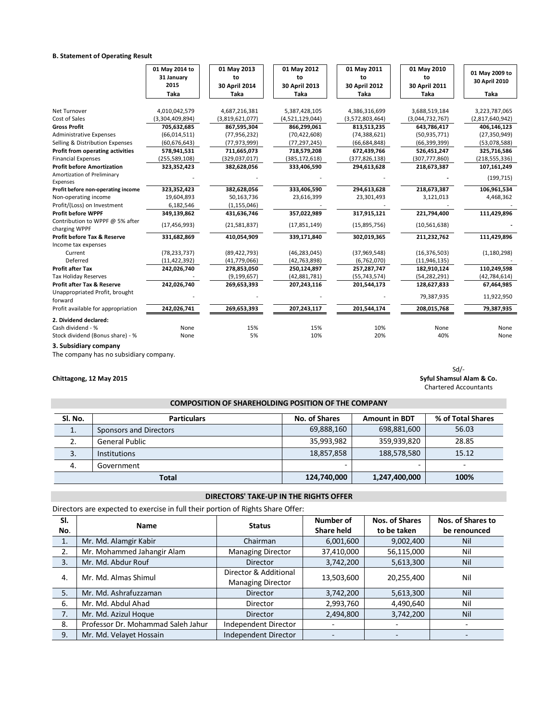## **B. Statement of Operating Result**

|                                                               | 01 May 2014 to<br>31 January<br>2015 | 01 May 2013<br>to<br>30 April 2014 | 01 May 2012<br>to<br>30 April 2013 | 01 May 2011<br>to<br>30 April 2012 | 01 May 2010<br>to<br>30 April 2011 | 01 May 2009 to<br>30 April 2010  |
|---------------------------------------------------------------|--------------------------------------|------------------------------------|------------------------------------|------------------------------------|------------------------------------|----------------------------------|
|                                                               | Taka                                 | Taka                               | Taka                               | Taka                               | Taka                               | <b>Taka</b>                      |
| Net Turnover<br>Cost of Sales                                 | 4,010,042,579<br>(3,304,409,894)     | 4,687,216,381<br>(3,819,621,077)   | 5,387,428,105<br>(4,521,129,044)   | 4,386,316,699<br>(3,572,803,464)   | 3,688,519,184<br>(3,044,732,767)   | 3,223,787,065<br>(2,817,640,942) |
| <b>Gross Profit</b>                                           | 705,632,685                          | 867,595,304                        | 866,299,061                        | 813,513,235                        | 643,786,417                        | 406,146,123                      |
| <b>Administrative Expenses</b>                                | (66, 014, 511)                       | (77, 956, 232)                     | (70, 422, 608)                     | (74, 388, 621)                     | (50, 935, 771)                     | (27, 350, 949)                   |
| Selling & Distribution Expenses                               | (60, 676, 643)                       | (77, 973, 999)                     | (77, 297, 245)                     | (66, 684, 848)                     | (66, 399, 399)                     | (53,078,588)                     |
| Profit from operating activities                              | 578,941,531                          | 711,665,073                        | 718,579,208                        | 672,439,766                        | 526,451,247                        | 325,716,586                      |
| <b>Financial Expenses</b>                                     | (255, 589, 108)                      | (329, 037, 017)                    | (385, 172, 618)                    | (377, 826, 138)                    | (307, 777, 860)                    | (218, 555, 336)                  |
| <b>Profit before Amortization</b>                             | 323,352,423                          | 382,628,056                        | 333,406,590                        | 294,613,628                        | 218,673,387                        | 107,161,249                      |
| Amortization of Preliminary<br>Expenses                       |                                      |                                    |                                    |                                    |                                    | (199, 715)                       |
| Profit before non-operating income                            | 323,352,423                          | 382,628,056                        | 333,406,590                        | 294,613,628                        | 218,673,387                        | 106,961,534                      |
| Non-operating income                                          | 19,604,893                           | 50,163,736                         | 23,616,399                         | 23,301,493                         | 3,121,013                          | 4,468,362                        |
| Profit/(Loss) on Investment                                   | 6,182,546                            | (1, 155, 046)                      |                                    |                                    |                                    |                                  |
| <b>Profit before WPPF</b>                                     | 349,139,862                          | 431,636,746                        | 357,022,989                        | 317,915,121                        | 221,794,400                        | 111,429,896                      |
| Contribution to WPPF @ 5% after<br>charging WPPF              | (17, 456, 993)                       | (21,581,837)                       | (17,851,149)                       | (15,895,756)                       | (10, 561, 638)                     |                                  |
| <b>Profit before Tax &amp; Reserve</b><br>Income tax expenses | 331,682,869                          | 410,054,909                        | 339,171,840                        | 302,019,365                        | 211,232,762                        | 111,429,896                      |
| Current                                                       | (78, 233, 737)                       | (89, 422, 793)                     | (46, 283, 045)                     | (37,969,548)                       | (16, 376, 503)                     | (1, 180, 298)                    |
| Deferred                                                      | (11, 422, 392)                       | (41,779,066)                       | (42, 763, 898)                     | (6,762,070)                        | (11,946,135)                       |                                  |
| <b>Profit after Tax</b>                                       | 242,026,740                          | 278,853,050                        | 250,124,897                        | 257, 287, 747                      | 182,910,124                        | 110,249,598                      |
| <b>Tax Holiday Reserves</b>                                   |                                      | (9, 199, 657)                      | (42, 881, 781)                     | (55, 743, 574)                     | (54, 282, 291)                     | (42, 784, 614)                   |
| <b>Profit after Tax &amp; Reserve</b>                         | 242,026,740                          | 269,653,393                        | 207,243,116                        | 201,544,173                        | 128,627,833                        | 67,464,985                       |
| Unappropriated Profit, brought<br>forward                     |                                      |                                    |                                    |                                    | 79,387,935                         | 11,922,950                       |
| Profit available for appropriation                            | 242,026,741                          | 269,653,393                        | 207,243,117                        | 201,544,174                        | 208,015,768                        | 79,387,935                       |
| 2. Dividend declared:                                         |                                      |                                    |                                    |                                    |                                    |                                  |
| Cash dividend - %                                             | None                                 | 15%                                | 15%                                | 10%                                | None                               | None                             |
| Stock dividend (Bonus share) - %                              | None                                 | 5%                                 | 10%                                | 20%                                | 40%                                | None                             |

**3. Subsidiary company**

The company has no subsidiary company.

Sd/- **Chittagong, 12 May 2015 Syful Shamsul Alam & Co.** Chartered Accountants

# **COMPOSITION OF SHAREHOLDING POSITION OF THE COMPANY**

| Sl. No.      | <b>Particulars</b>     | No. of Shares | <b>Amount in BDT</b> | % of Total Shares |
|--------------|------------------------|---------------|----------------------|-------------------|
| ᅩ.           | Sponsors and Directors | 69,888,160    | 698,881,600          | 56.03             |
| 2.           | <b>General Public</b>  | 35,993,982    | 359,939,820          | 28.85             |
| 3.           | <b>Institutions</b>    | 18,857,858    | 188,578,580          | 15.12             |
| 4.           | Government             |               |                      | ٠                 |
| <b>Total</b> |                        | 124,740,000   | 1,247,400,000        | 100%              |

## **DIRECTORS' TAKE-UP IN THE RIGHTS OFFER**

Directors are expected to exercise in full their portion of Rights Share Offer:

| SI.<br>No.       | <b>Name</b>                        | <b>Status</b>                                     | Number of<br><b>Share held</b> | Nos. of Shares<br>to be taken | Nos. of Shares to<br>be renounced |
|------------------|------------------------------------|---------------------------------------------------|--------------------------------|-------------------------------|-----------------------------------|
| $\overline{1}$ . | Mr. Md. Alamgir Kabir              | Chairman                                          | 6,001,600                      | 9,002,400                     | <b>Nil</b>                        |
| 2.               | Mr. Mohammed Jahangir Alam         | <b>Managing Director</b>                          | 37,410,000                     | 56,115,000                    | Nil                               |
| 3.               | Mr. Md. Abdur Rouf                 | <b>Director</b>                                   | 3,742,200                      | 5,613,300                     | <b>Nil</b>                        |
| 4.               | Mr. Md. Almas Shimul               | Director & Additional<br><b>Managing Director</b> | 13,503,600                     | 20,255,400                    | Nil                               |
| 5.               | Mr. Md. Ashrafuzzaman              | <b>Director</b>                                   | 3,742,200                      | 5,613,300                     | Nil                               |
| 6.               | Mr. Md. Abdul Ahad                 | Director                                          | 2,993,760                      | 4,490,640                     | Nil                               |
| 7.               | Mr. Md. Azizul Hoque               | <b>Director</b>                                   | 2,494,800                      | 3,742,200                     | Nil                               |
| 8.               | Professor Dr. Mohammad Saleh Jahur | Independent Director                              |                                |                               |                                   |
| 9.               | Mr. Md. Velayet Hossain            | Independent Director                              |                                |                               |                                   |